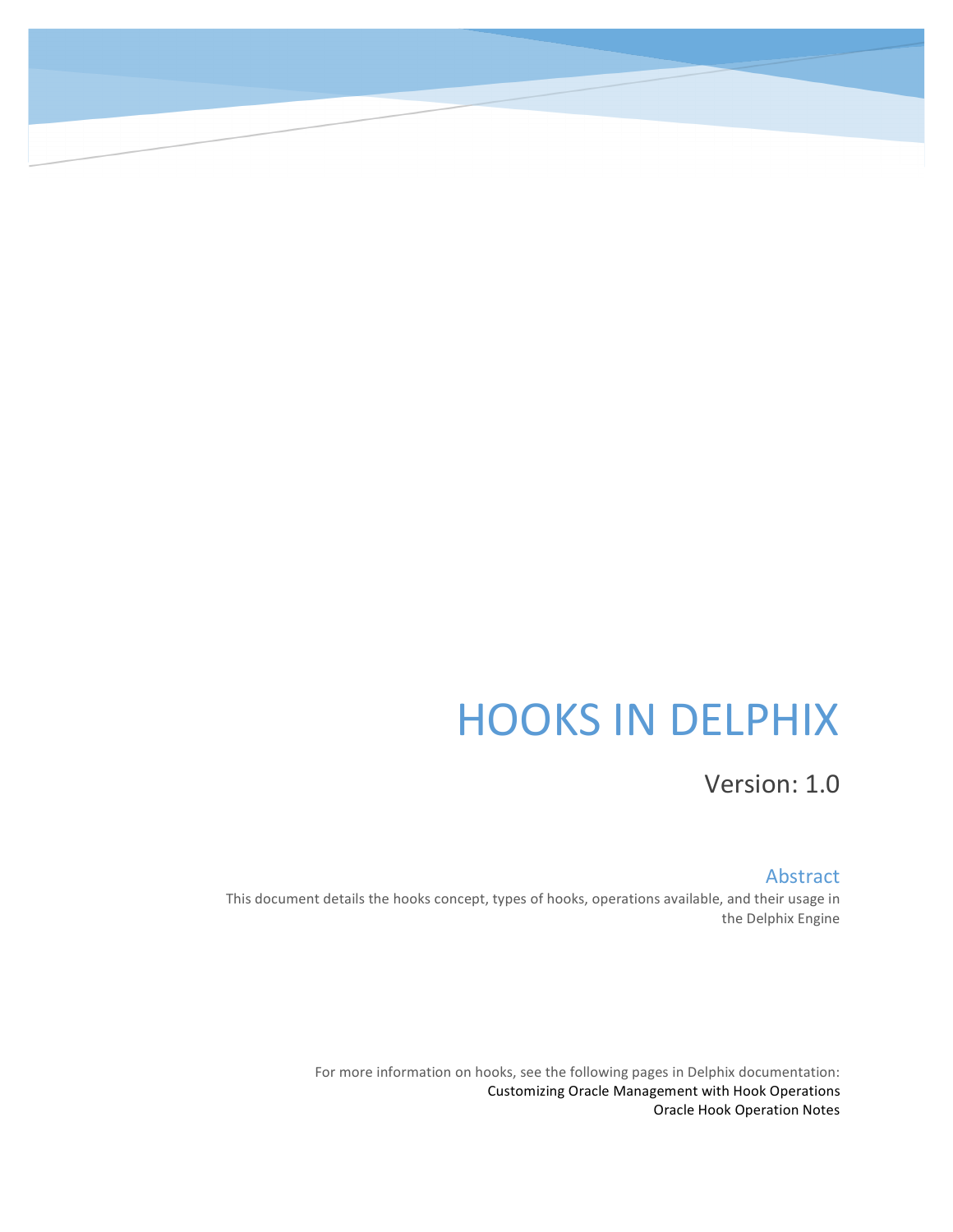# **HOOKS IN DELPHIX**

Version: 1.0

#### Abstract

This document details the hooks concept, types of hooks, operations available, and their usage in the Delphix Engine

> For more information on hooks, see the following pages in Delphix documentation: Customizing Oracle Management with Hook Operations **Oracle Hook Operation Notes**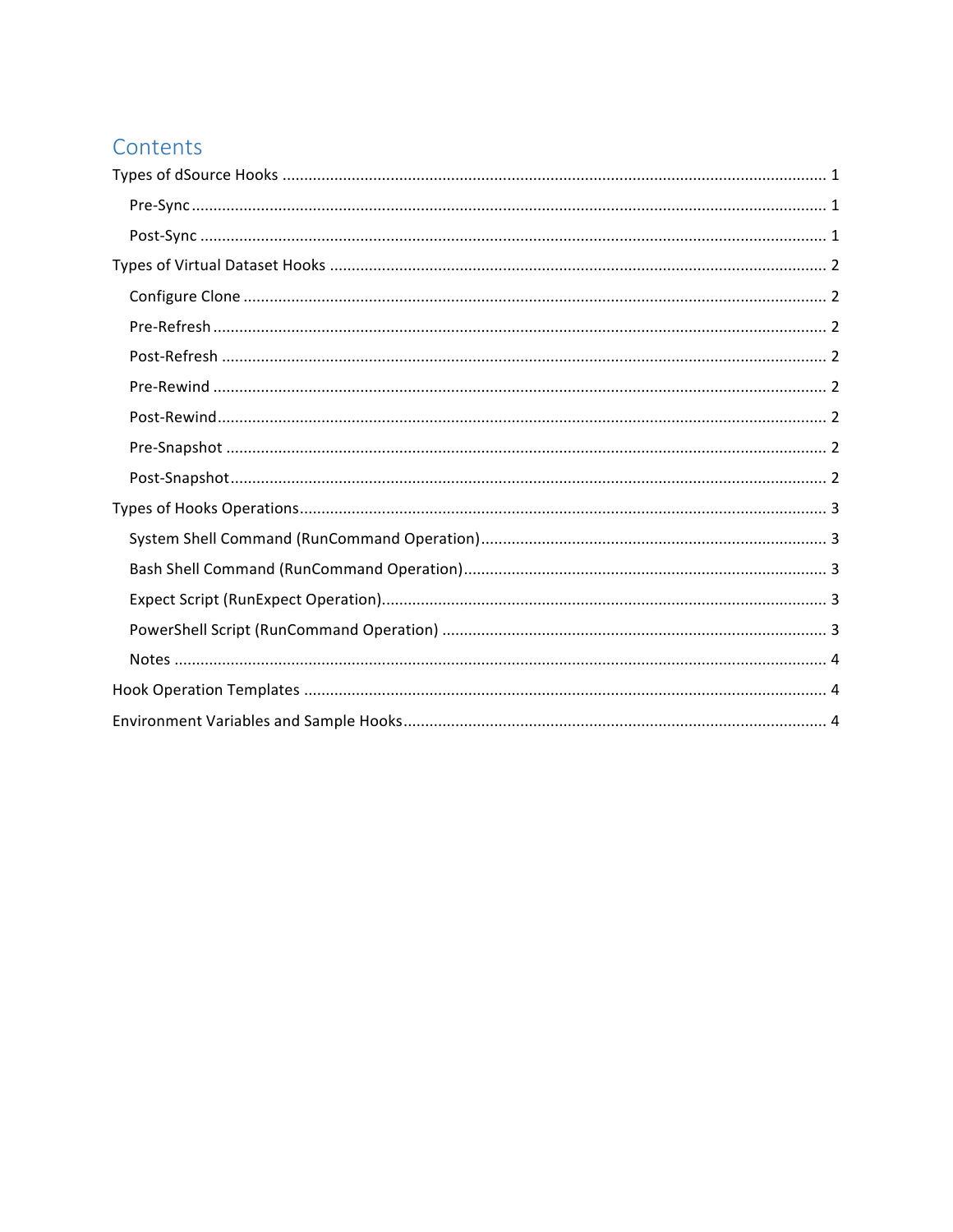## Contents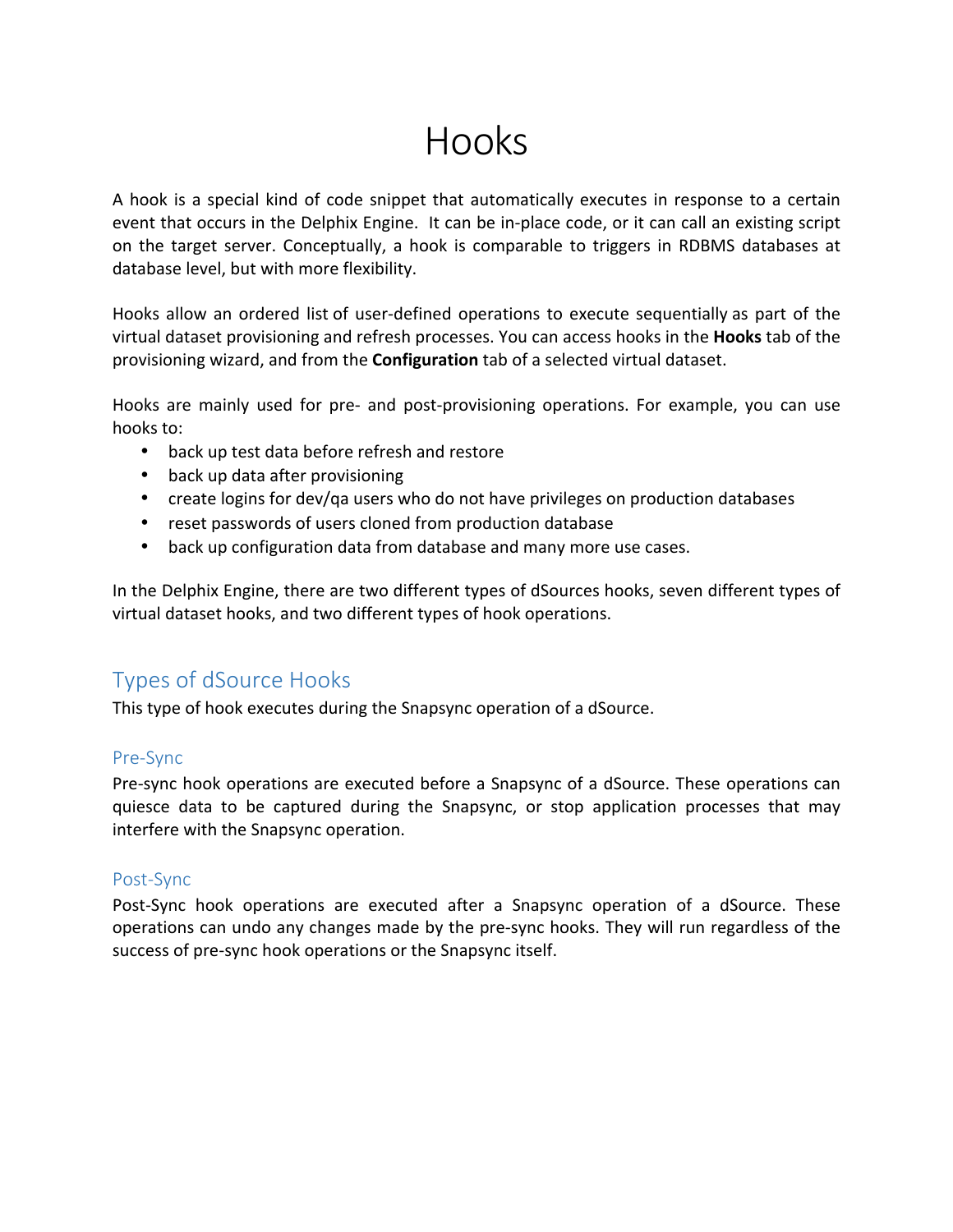## Hooks

A hook is a special kind of code snippet that automatically executes in response to a certain event that occurs in the Delphix Engine. It can be in-place code, or it can call an existing script on the target server. Conceptually, a hook is comparable to triggers in RDBMS databases at database level, but with more flexibility.

Hooks allow an ordered list of user-defined operations to execute sequentially as part of the virtual dataset provisioning and refresh processes. You can access hooks in the Hooks tab of the provisioning wizard, and from the **Configuration** tab of a selected virtual dataset.

Hooks are mainly used for pre- and post-provisioning operations. For example, you can use hooks to:

- back up test data before refresh and restore
- back up data after provisioning
- create logins for dev/qa users who do not have privileges on production databases
- reset passwords of users cloned from production database
- back up configuration data from database and many more use cases.

In the Delphix Engine, there are two different types of dSources hooks, seven different types of virtual dataset hooks, and two different types of hook operations.

## Types of dSource Hooks

This type of hook executes during the Snapsync operation of a dSource.

#### Pre-Sync

Pre-sync hook operations are executed before a Snapsync of a dSource. These operations can quiesce data to be captured during the Snapsync, or stop application processes that may interfere with the Snapsync operation.

#### Post-Sync

Post-Sync hook operations are executed after a Snapsync operation of a dSource. These operations can undo any changes made by the pre-sync hooks. They will run regardless of the success of pre-sync hook operations or the Snapsync itself.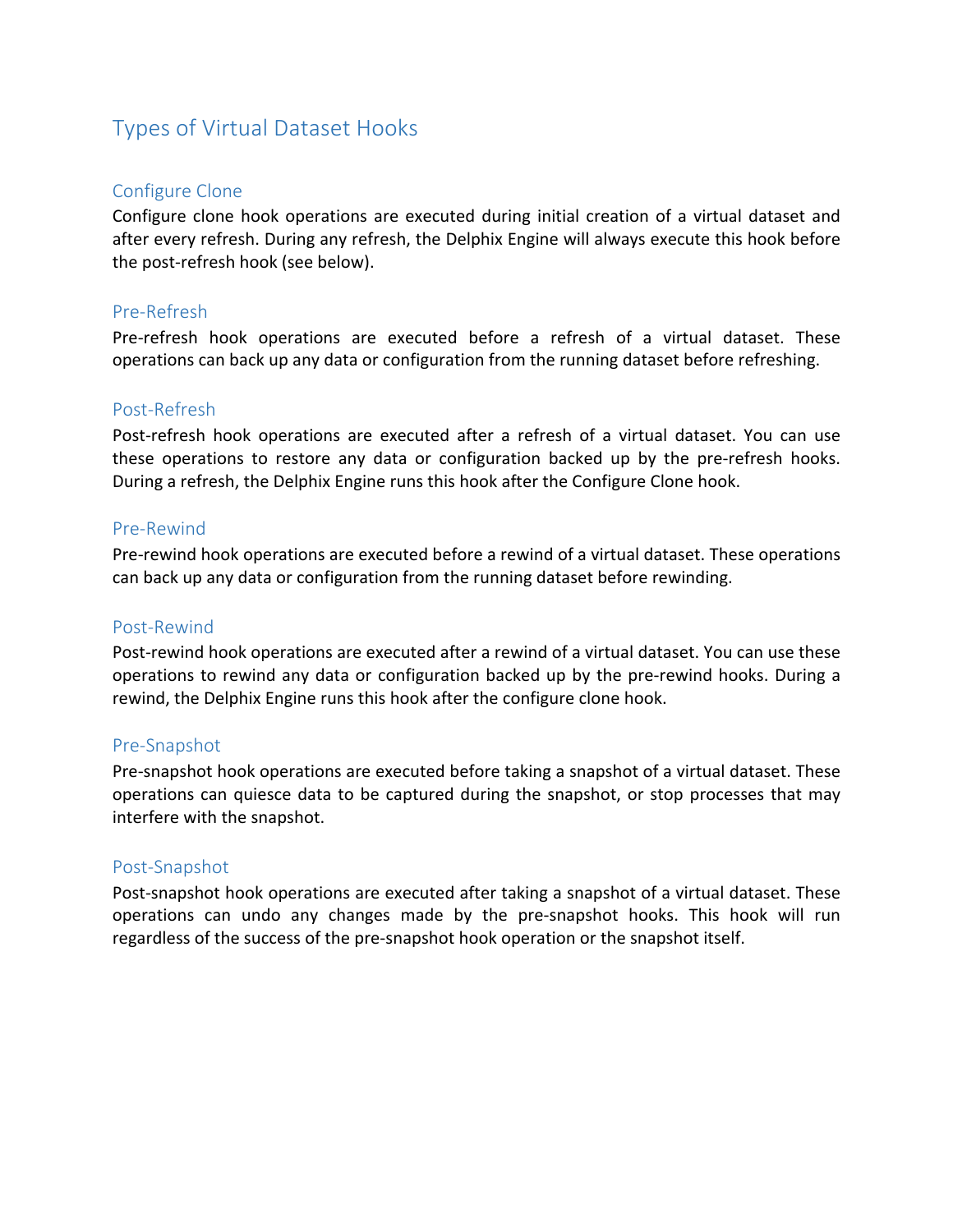## Types of Virtual Dataset Hooks

#### Configure Clone

Configure clone hook operations are executed during initial creation of a virtual dataset and after every refresh. During any refresh, the Delphix Engine will always execute this hook before the post-refresh hook (see below).

#### Pre-Refresh

Pre-refresh hook operations are executed before a refresh of a virtual dataset. These operations can back up any data or configuration from the running dataset before refreshing.

#### Post-Refresh

Post-refresh hook operations are executed after a refresh of a virtual dataset. You can use these operations to restore any data or configuration backed up by the pre-refresh hooks. During a refresh, the Delphix Engine runs this hook after the Configure Clone hook.

#### Pre-Rewind

Pre-rewind hook operations are executed before a rewind of a virtual dataset. These operations can back up any data or configuration from the running dataset before rewinding.

#### Post-Rewind

Post-rewind hook operations are executed after a rewind of a virtual dataset. You can use these operations to rewind any data or configuration backed up by the pre-rewind hooks. During a rewind, the Delphix Engine runs this hook after the configure clone hook.

#### Pre-Snapshot

Pre-snapshot hook operations are executed before taking a snapshot of a virtual dataset. These operations can quiesce data to be captured during the snapshot, or stop processes that may interfere with the snapshot.

#### Post-Snapshot

Post-snapshot hook operations are executed after taking a snapshot of a virtual dataset. These operations can undo any changes made by the pre-snapshot hooks. This hook will run regardless of the success of the pre-snapshot hook operation or the snapshot itself.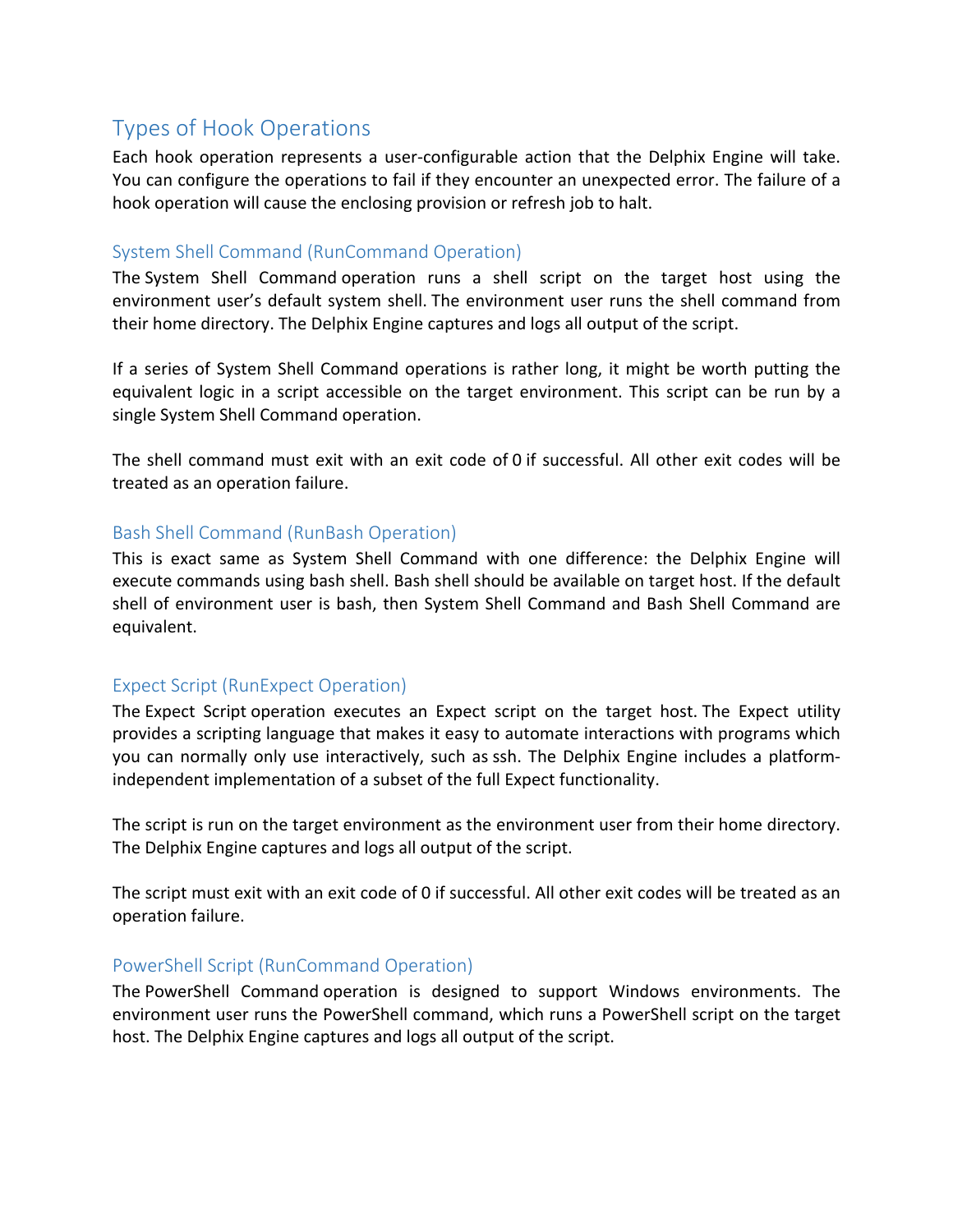## Types of Hook Operations

Each hook operation represents a user-configurable action that the Delphix Engine will take. You can configure the operations to fail if they encounter an unexpected error. The failure of a hook operation will cause the enclosing provision or refresh job to halt.

#### System Shell Command (RunCommand Operation)

The System Shell Command operation runs a shell script on the target host using the environment user's default system shell. The environment user runs the shell command from their home directory. The Delphix Engine captures and logs all output of the script.

If a series of System Shell Command operations is rather long, it might be worth putting the equivalent logic in a script accessible on the target environment. This script can be run by a single System Shell Command operation.

The shell command must exit with an exit code of 0 if successful. All other exit codes will be treated as an operation failure.

#### Bash Shell Command (RunBash Operation)

This is exact same as System Shell Command with one difference: the Delphix Engine will execute commands using bash shell. Bash shell should be available on target host. If the default shell of environment user is bash, then System Shell Command and Bash Shell Command are equivalent.

#### Expect Script (RunExpect Operation)

The Expect Script operation executes an Expect script on the target host. The Expect utility provides a scripting language that makes it easy to automate interactions with programs which you can normally only use interactively, such as ssh. The Delphix Engine includes a platformindependent implementation of a subset of the full Expect functionality.

The script is run on the target environment as the environment user from their home directory. The Delphix Engine captures and logs all output of the script.

The script must exit with an exit code of 0 if successful. All other exit codes will be treated as an operation failure.

#### PowerShell Script (RunCommand Operation)

The PowerShell Command operation is designed to support Windows environments. The environment user runs the PowerShell command, which runs a PowerShell script on the target host. The Delphix Engine captures and logs all output of the script.